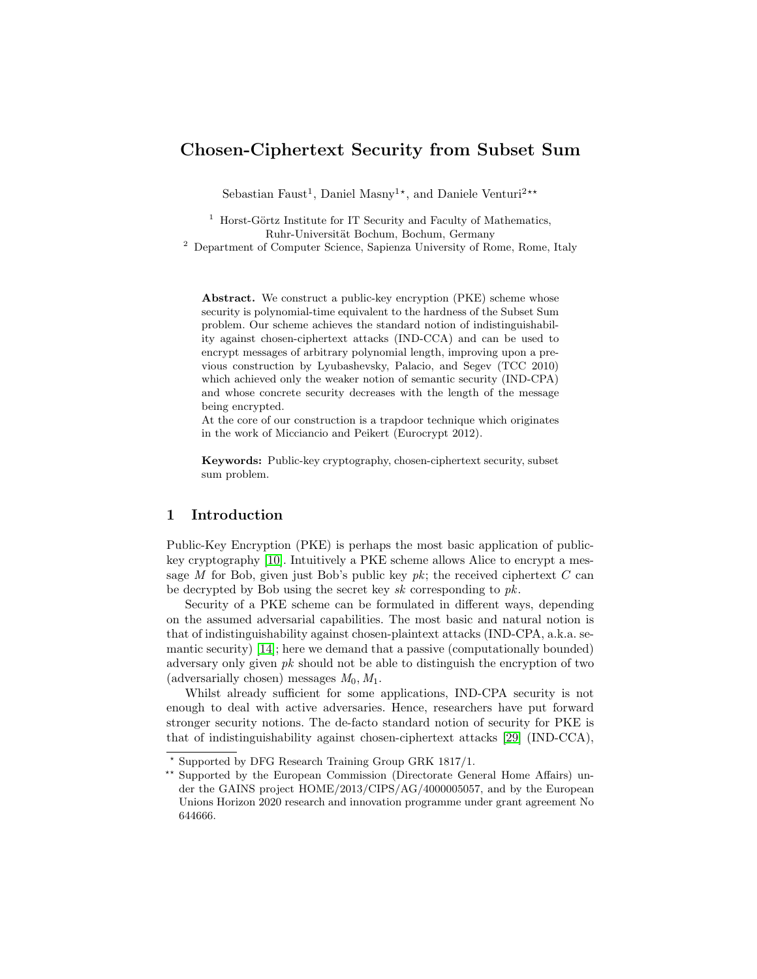# Chosen-Ciphertext Security from Subset Sum

Sebastian Faust<sup>1</sup>, Daniel Masny<sup>1\*</sup>, and Daniele Venturi<sup>2\*\*</sup>

 $1$  Horst-Görtz Institute for IT Security and Faculty of Mathematics, Ruhr-Universität Bochum, Bochum, Germany

<sup>2</sup> Department of Computer Science, Sapienza University of Rome, Rome, Italy

Abstract. We construct a public-key encryption (PKE) scheme whose security is polynomial-time equivalent to the hardness of the Subset Sum problem. Our scheme achieves the standard notion of indistinguishability against chosen-ciphertext attacks (IND-CCA) and can be used to encrypt messages of arbitrary polynomial length, improving upon a previous construction by Lyubashevsky, Palacio, and Segev (TCC 2010) which achieved only the weaker notion of semantic security (IND-CPA) and whose concrete security decreases with the length of the message being encrypted.

At the core of our construction is a trapdoor technique which originates in the work of Micciancio and Peikert (Eurocrypt 2012).

Keywords: Public-key cryptography, chosen-ciphertext security, subset sum problem.

### 1 Introduction

Public-Key Encryption (PKE) is perhaps the most basic application of publickey cryptography [\[10\]](#page-10-0). Intuitively a PKE scheme allows Alice to encrypt a message M for Bob, given just Bob's public key  $pk$ ; the received ciphertext C can be decrypted by Bob using the secret key sk corresponding to pk.

Security of a PKE scheme can be formulated in different ways, depending on the assumed adversarial capabilities. The most basic and natural notion is that of indistinguishability against chosen-plaintext attacks (IND-CPA, a.k.a. semantic security) [\[14\]](#page-10-1); here we demand that a passive (computationally bounded) adversary only given  $pk$  should not be able to distinguish the encryption of two (adversarially chosen) messages  $M_0, M_1$ .

Whilst already sufficient for some applications, IND-CPA security is not enough to deal with active adversaries. Hence, researchers have put forward stronger security notions. The de-facto standard notion of security for PKE is that of indistinguishability against chosen-ciphertext attacks [\[29\]](#page-10-2) (IND-CCA),

<sup>?</sup> Supported by DFG Research Training Group GRK 1817/1.

<sup>\*\*</sup> Supported by the European Commission (Directorate General Home Affairs) under the GAINS project HOME/2013/CIPS/AG/4000005057, and by the European Unions Horizon 2020 research and innovation programme under grant agreement No 644666.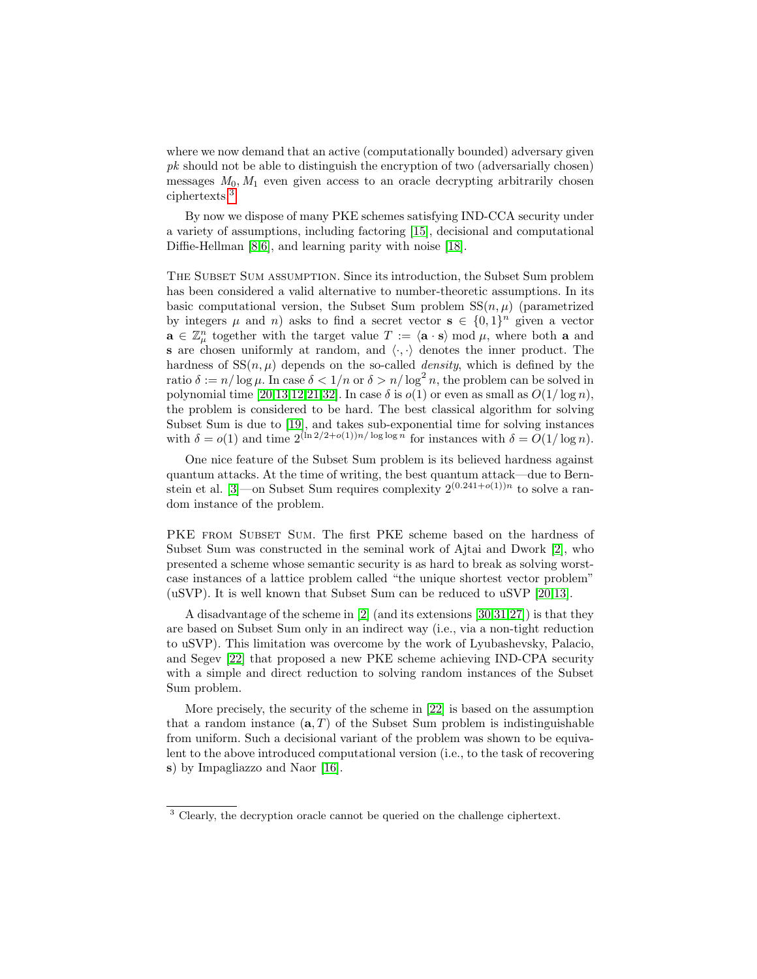where we now demand that an active (computationally bounded) adversary given pk should not be able to distinguish the encryption of two (adversarially chosen) messages  $M_0, M_1$  even given access to an oracle decrypting arbitrarily chosen ciphertexts.[3](#page-1-0)

By now we dispose of many PKE schemes satisfying IND-CCA security under a variety of assumptions, including factoring [\[15\]](#page-10-3), decisional and computational Diffie-Hellman [\[8,](#page-10-4)[6\]](#page-10-5), and learning parity with noise [\[18\]](#page-10-6).

The Subset Sum assumption. Since its introduction, the Subset Sum problem has been considered a valid alternative to number-theoretic assumptions. In its basic computational version, the Subset Sum problem  $SS(n, \mu)$  (parametrized by integers  $\mu$  and n) asks to find a secret vector  $\mathbf{s} \in \{0,1\}^n$  given a vector  $\mathbf{a} \in \mathbb{Z}_{\mu}^{n}$  together with the target value  $T := \langle \mathbf{a} \cdot \mathbf{s} \rangle \bmod \mu$ , where both a and s are chosen uniformly at random, and  $\langle \cdot, \cdot \rangle$  denotes the inner product. The hardness of  $SS(n, \mu)$  depends on the so-called *density*, which is defined by the ratio  $\delta := n/\log \mu$ . In case  $\delta < 1/n$  or  $\delta > n/\log^2 n$ , the problem can be solved in polynomial time [\[20](#page-10-7)[,13,](#page-10-8)[12,](#page-10-9)[21](#page-10-10)[,32\]](#page-11-0). In case  $\delta$  is  $o(1)$  or even as small as  $O(1/\log n)$ , the problem is considered to be hard. The best classical algorithm for solving Subset Sum is due to [\[19\]](#page-10-11), and takes sub-exponential time for solving instances with  $\delta = o(1)$  and time  $2^{(\ln 2/2 + o(1))n/\log \log n}$  for instances with  $\delta = O(1/\log n)$ .

One nice feature of the Subset Sum problem is its believed hardness against quantum attacks. At the time of writing, the best quantum attack—due to Bern-stein et al. [\[3\]](#page-9-0)—on Subset Sum requires complexity  $2^{(0.241+o(1))n}$  to solve a random instance of the problem.

PKE FROM SUBSET SUM. The first PKE scheme based on the hardness of Subset Sum was constructed in the seminal work of Ajtai and Dwork [\[2\]](#page-9-1), who presented a scheme whose semantic security is as hard to break as solving worstcase instances of a lattice problem called "the unique shortest vector problem" (uSVP). It is well known that Subset Sum can be reduced to uSVP [\[20](#page-10-7)[,13\]](#page-10-8).

A disadvantage of the scheme in [\[2\]](#page-9-1) (and its extensions [\[30,](#page-10-12)[31,](#page-11-1)[27\]](#page-10-13)) is that they are based on Subset Sum only in an indirect way (i.e., via a non-tight reduction to uSVP). This limitation was overcome by the work of Lyubashevsky, Palacio, and Segev [\[22\]](#page-10-14) that proposed a new PKE scheme achieving IND-CPA security with a simple and direct reduction to solving random instances of the Subset Sum problem.

More precisely, the security of the scheme in [\[22\]](#page-10-14) is based on the assumption that a random instance  $(a, T)$  of the Subset Sum problem is indistinguishable from uniform. Such a decisional variant of the problem was shown to be equivalent to the above introduced computational version (i.e., to the task of recovering s) by Impagliazzo and Naor [\[16\]](#page-10-15).

<span id="page-1-0"></span><sup>&</sup>lt;sup>3</sup> Clearly, the decryption oracle cannot be queried on the challenge ciphertext.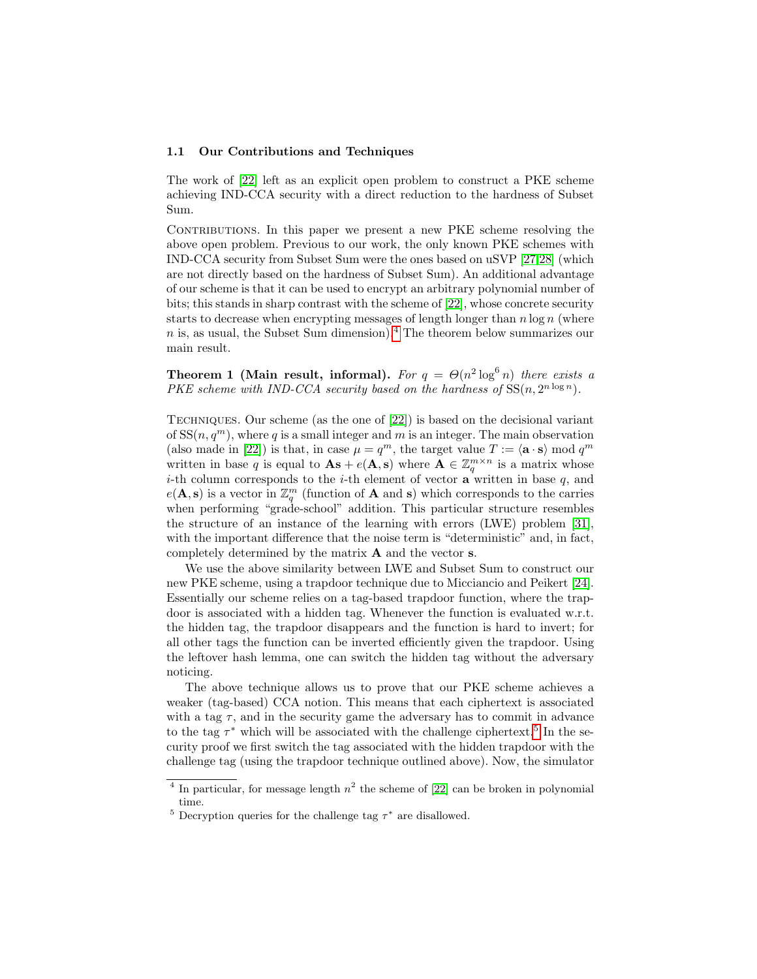#### 1.1 Our Contributions and Techniques

The work of [\[22\]](#page-10-14) left as an explicit open problem to construct a PKE scheme achieving IND-CCA security with a direct reduction to the hardness of Subset Sum.

CONTRIBUTIONS. In this paper we present a new PKE scheme resolving the above open problem. Previous to our work, the only known PKE schemes with IND-CCA security from Subset Sum were the ones based on uSVP [\[27,](#page-10-13)[28\]](#page-10-16) (which are not directly based on the hardness of Subset Sum). An additional advantage of our scheme is that it can be used to encrypt an arbitrary polynomial number of bits; this stands in sharp contrast with the scheme of [\[22\]](#page-10-14), whose concrete security starts to decrease when encrypting messages of length longer than  $n \log n$  (where  $n$  is, as usual, the Subset Sum dimension).<sup>[4](#page-2-0)</sup> The theorem below summarizes our main result.

<span id="page-2-2"></span>Theorem 1 (Main result, informal). For  $q = \Theta(n^2 \log^6 n)$  there exists a PKE scheme with IND-CCA security based on the hardness of  $SS(n, 2^{n \log n})$ .

Techniques. Our scheme (as the one of [\[22\]](#page-10-14)) is based on the decisional variant of  $SS(n, q^m)$ , where q is a small integer and m is an integer. The main observation (also made in [\[22\]](#page-10-14)) is that, in case  $\mu = q^m$ , the target value  $T := \langle \mathbf{a} \cdot \mathbf{s} \rangle \bmod q^m$ written in base q is equal to  $\mathbf{A}\mathbf{s} + e(\mathbf{A}, \mathbf{s})$  where  $\mathbf{A} \in \mathbb{Z}_q^{m \times n}$  is a matrix whose *i*-th column corresponds to the *i*-th element of vector **a** written in base  $q$ , and  $e(\mathbf{A}, \mathbf{s})$  is a vector in  $\mathbb{Z}_q^m$  (function of **A** and **s**) which corresponds to the carries when performing "grade-school" addition. This particular structure resembles the structure of an instance of the learning with errors (LWE) problem [\[31\]](#page-11-1), with the important difference that the noise term is "deterministic" and, in fact, completely determined by the matrix A and the vector s.

We use the above similarity between LWE and Subset Sum to construct our new PKE scheme, using a trapdoor technique due to Micciancio and Peikert [\[24\]](#page-10-17). Essentially our scheme relies on a tag-based trapdoor function, where the trapdoor is associated with a hidden tag. Whenever the function is evaluated w.r.t. the hidden tag, the trapdoor disappears and the function is hard to invert; for all other tags the function can be inverted efficiently given the trapdoor. Using the leftover hash lemma, one can switch the hidden tag without the adversary noticing.

The above technique allows us to prove that our PKE scheme achieves a weaker (tag-based) CCA notion. This means that each ciphertext is associated with a tag  $\tau$ , and in the security game the adversary has to commit in advance to the tag  $\tau^*$  which will be associated with the challenge ciphertext.<sup>[5](#page-2-1)</sup> In the security proof we first switch the tag associated with the hidden trapdoor with the challenge tag (using the trapdoor technique outlined above). Now, the simulator

<span id="page-2-0"></span><sup>&</sup>lt;sup>4</sup> In particular, for message length  $n^2$  the scheme of [\[22\]](#page-10-14) can be broken in polynomial time.

<span id="page-2-1"></span><sup>&</sup>lt;sup>5</sup> Decryption queries for the challenge tag  $\tau^*$  are disallowed.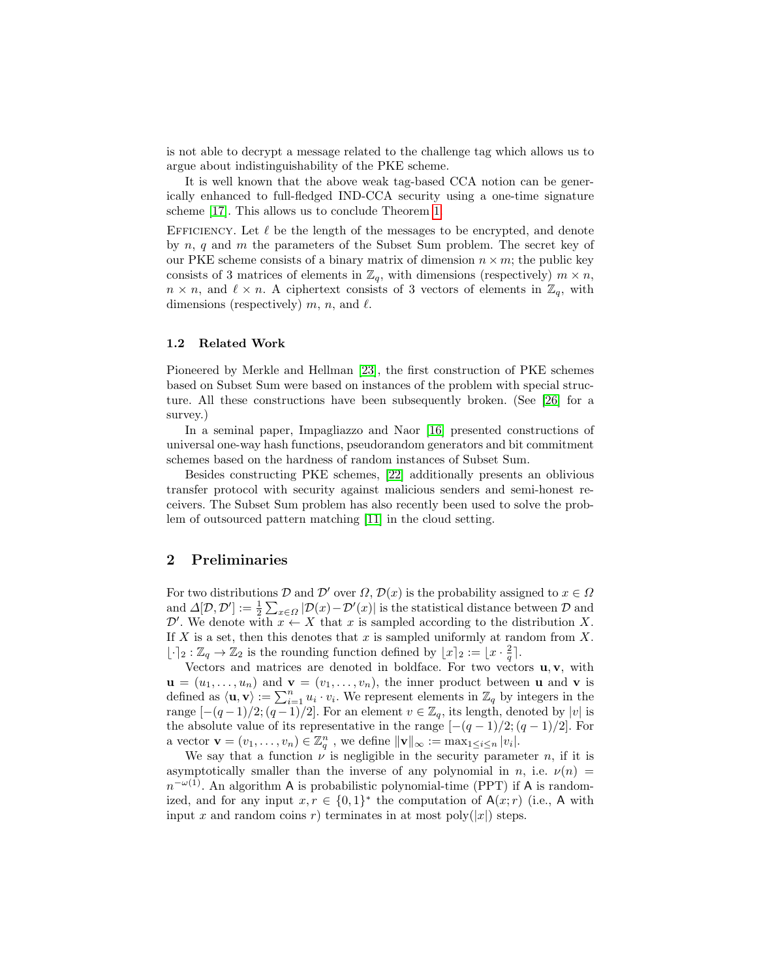is not able to decrypt a message related to the challenge tag which allows us to argue about indistinguishability of the PKE scheme.

It is well known that the above weak tag-based CCA notion can be generically enhanced to full-fledged IND-CCA security using a one-time signature scheme [\[17\]](#page-10-18). This allows us to conclude Theorem [1.](#page-2-2)

EFFICIENCY. Let  $\ell$  be the length of the messages to be encrypted, and denote by  $n, q$  and  $m$  the parameters of the Subset Sum problem. The secret key of our PKE scheme consists of a binary matrix of dimension  $n \times m$ ; the public key consists of 3 matrices of elements in  $\mathbb{Z}_q$ , with dimensions (respectively)  $m \times n$ ,  $n \times n$ , and  $\ell \times n$ . A ciphertext consists of 3 vectors of elements in  $\mathbb{Z}_q$ , with dimensions (respectively)  $m$ ,  $n$ , and  $\ell$ .

### 1.2 Related Work

Pioneered by Merkle and Hellman [\[23\]](#page-10-19), the first construction of PKE schemes based on Subset Sum were based on instances of the problem with special structure. All these constructions have been subsequently broken. (See [\[26\]](#page-10-20) for a survey.)

In a seminal paper, Impagliazzo and Naor [\[16\]](#page-10-15) presented constructions of universal one-way hash functions, pseudorandom generators and bit commitment schemes based on the hardness of random instances of Subset Sum.

Besides constructing PKE schemes, [\[22\]](#page-10-14) additionally presents an oblivious transfer protocol with security against malicious senders and semi-honest receivers. The Subset Sum problem has also recently been used to solve the problem of outsourced pattern matching [\[11\]](#page-10-21) in the cloud setting.

### 2 Preliminaries

For two distributions D and D' over  $\Omega$ ,  $\mathcal{D}(x)$  is the probability assigned to  $x \in \Omega$ and  $\Delta[D, \mathcal{D}'] := \frac{1}{2} \sum_{x \in \Omega} |\mathcal{D}(x) - \mathcal{D}'(x)|$  is the statistical distance between  $\mathcal D$  and D'. We denote with  $x \leftarrow X$  that x is sampled according to the distribution X. If  $X$  is a set, then this denotes that  $x$  is sampled uniformly at random from  $X$ .  $\lfloor \cdot \rceil_2 : \mathbb{Z}_q \to \mathbb{Z}_2$  is the rounding function defined by  $\lfloor x \rceil_2 := \lfloor x \cdot \frac{2}{q} \rceil$ .

Vectors and matrices are denoted in boldface. For two vectors  $\mathbf{u}, \mathbf{v}$ , with  $\mathbf{u} = (u_1, \ldots, u_n)$  and  $\mathbf{v} = (v_1, \ldots, v_n)$ , the inner product between **u** and **v** is defined as  $\langle \mathbf{u}, \mathbf{v} \rangle := \sum_{i=1}^n u_i \cdot v_i$ . We represent elements in  $\mathbb{Z}_q$  by integers in the range  $[-(q-1)/2; (q-1)/2]$ . For an element  $v \in \mathbb{Z}_q$ , its length, denoted by  $|v|$  is the absolute value of its representative in the range  $[-(q-1)/2; (q-1)/2]$ . For a vector  $\mathbf{v} = (v_1, \ldots, v_n) \in \mathbb{Z}_q^n$ , we define  $\|\mathbf{v}\|_{\infty} := \max_{1 \leq i \leq n} |v_i|$ .

We say that a function  $\nu$  is negligible in the security parameter n, if it is asymptotically smaller than the inverse of any polynomial in n, i.e.  $\nu(n)$  $n^{-\omega(1)}$ . An algorithm A is probabilistic polynomial-time (PPT) if A is randomized, and for any input  $x, r \in \{0,1\}^*$  the computation of  $A(x; r)$  (i.e., A with input x and random coins r) terminates in at most poly $(|x|)$  steps.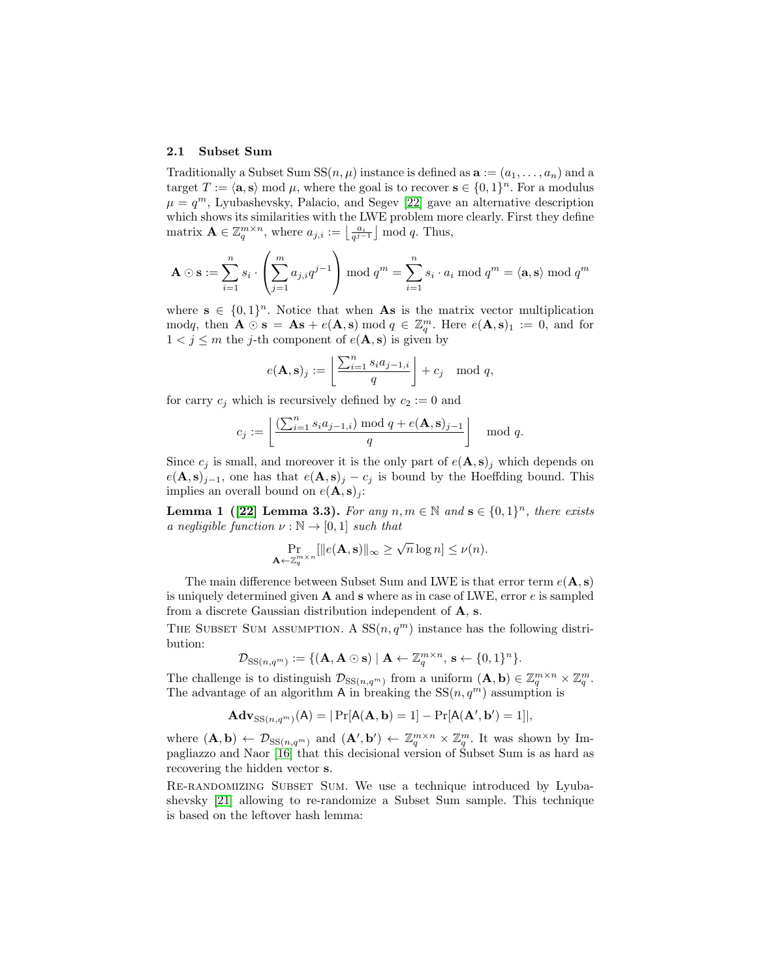#### 2.1 Subset Sum

Traditionally a Subset Sum  $SS(n, \mu)$  instance is defined as  $\mathbf{a} := (a_1, \dots, a_n)$  and a target  $T := \langle \mathbf{a}, \mathbf{s} \rangle \bmod \mu$ , where the goal is to recover  $\mathbf{s} \in \{0, 1\}^n$ . For a modulus  $\mu = q^m$ , Lyubashevsky, Palacio, and Segev [\[22\]](#page-10-14) gave an alternative description which shows its similarities with the LWE problem more clearly. First they define matrix  $\mathbf{A} \in \mathbb{Z}_q^{m \times n}$ , where  $a_{j,i} := \left\lfloor \frac{a_i}{q^{j-1}} \right\rfloor \mod q$ . Thus,

$$
\mathbf{A} \odot \mathbf{s} := \sum_{i=1}^{n} s_i \cdot \left( \sum_{j=1}^{m} a_{j,i} q^{j-1} \right) \bmod q^m = \sum_{i=1}^{n} s_i \cdot a_i \bmod q^m = \langle \mathbf{a}, \mathbf{s} \rangle \bmod q^m
$$

where  $\mathbf{s} \in \{0,1\}^n$ . Notice that when **As** is the matrix vector multiplication modq, then  $\mathbf{A} \odot \mathbf{s} = \mathbf{A}\mathbf{s} + e(\mathbf{A}, \mathbf{s}) \bmod q \in \mathbb{Z}_q^m$ . Here  $e(\mathbf{A}, \mathbf{s})_1 := 0$ , and for  $1 < j \leq m$  the j-th component of  $e(\mathbf{A}, \mathbf{s})$  is given by

$$
e(\mathbf{A}, \mathbf{s})_j := \left\lfloor \frac{\sum_{i=1}^n s_i a_{j-1,i}}{q} \right\rfloor + c_j \mod q,
$$

for carry  $c_j$  which is recursively defined by  $c_2 := 0$  and

$$
c_j := \left\lfloor \frac{\left(\sum_{i=1}^n s_i a_{j-1,i}\right) \bmod q + e(\mathbf{A}, \mathbf{s})_{j-1}}{q} \right\rfloor \mod q.
$$

Since  $c_i$  is small, and moreover it is the only part of  $e(\mathbf{A}, s)_i$  which depends on  $e(\mathbf{A}, \mathbf{s})_{j-1}$ , one has that  $e(\mathbf{A}, \mathbf{s})_j - c_j$  is bound by the Hoeffding bound. This implies an overall bound on  $e(\mathbf{A}, \mathbf{s})_i$ :

**Lemma 1** ([\[22\]](#page-10-14) Lemma 3.3). For any  $n, m \in \mathbb{N}$  and  $\mathbf{s} \in \{0, 1\}^n$ , there exists a negligible function  $\nu : \mathbb{N} \to [0,1]$  such that

$$
\Pr_{\mathbf{A}\leftarrow \mathbb{Z}_q^m \times n} [\|e(\mathbf{A}, \mathbf{s})\|_{\infty} \ge \sqrt{n} \log n] \le \nu(n).
$$

The main difference between Subset Sum and LWE is that error term  $e(\mathbf{A}, \mathbf{s})$ is uniquely determined given  $A$  and  $s$  where as in case of LWE, error  $e$  is sampled from a discrete Gaussian distribution independent of A, s.

THE SUBSET SUM ASSUMPTION. A  $SS(n, q^m)$  instance has the following distribution:

$$
\mathcal{D}_{\mathrm{SS}(n,q^m)} := \{ (\mathbf{A}, \mathbf{A} \odot \mathbf{s}) \mid \mathbf{A} \leftarrow \mathbb{Z}_q^{m \times n}, \mathbf{s} \leftarrow \{0,1\}^n \}.
$$

The challenge is to distinguish  $\mathcal{D}_{SS(n,q^m)}$  from a uniform  $(\mathbf{A}, \mathbf{b}) \in \mathbb{Z}_q^{m \times n} \times \mathbb{Z}_q^m$ . The advantage of an algorithm A in breaking the  $SS(n, q^m)$  assumption is

$$
\mathbf{Adv}_{\mathrm{SS}(n,q^m)}(\mathsf{A}) = |\Pr[\mathsf{A}(\mathbf{A}, \mathbf{b}) = 1] - \Pr[\mathsf{A}(\mathbf{A}', \mathbf{b}') = 1]|,
$$

where  $(A, b) \leftarrow \mathcal{D}_{SS(n,q^m)}$  and  $(A', b') \leftarrow \mathbb{Z}_q^{m \times n} \times \mathbb{Z}_q^m$ . It was shown by Impagliazzo and Naor [\[16\]](#page-10-15) that this decisional version of Subset Sum is as hard as recovering the hidden vector s.

<span id="page-4-0"></span>RE-RANDOMIZING SUBSET SUM. We use a technique introduced by Lyubashevsky [\[21\]](#page-10-10) allowing to re-randomize a Subset Sum sample. This technique is based on the leftover hash lemma: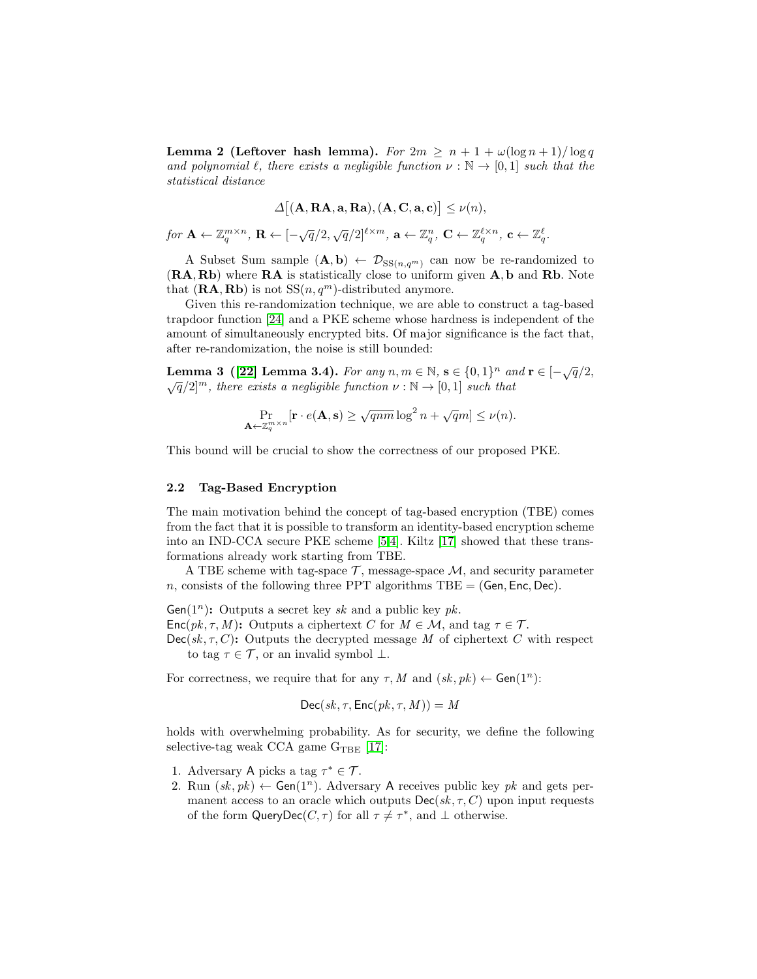**Lemma 2 (Leftover hash lemma).** For  $2m \geq n + 1 + \omega(\log n + 1)/\log q$ and polynomial  $\ell$ , there exists a negligible function  $\nu : \mathbb{N} \to [0,1]$  such that the statistical distance

$$
\Delta[(\mathbf{A}, \mathbf{R}\mathbf{A}, \mathbf{a}, \mathbf{R}\mathbf{a}), (\mathbf{A}, \mathbf{C}, \mathbf{a}, \mathbf{c})] \le \nu(n),
$$

 $\text{for } \mathbf{A} \leftarrow \mathbb{Z}_q^{m \times n}, \ \mathbf{R} \leftarrow [-\sqrt{q}/2, \sqrt{q}/2]^{\ell \times m}, \ \mathbf{a} \leftarrow \mathbb{Z}_q^n, \ \mathbf{C} \leftarrow \mathbb{Z}_q^{\ell \times n}, \ \mathbf{c} \leftarrow \mathbb{Z}_q^\ell.$ 

A Subset Sum sample  $(A, b) \leftarrow \mathcal{D}_{SS(n,q^m)}$  can now be re-randomized to (RA, Rb) where RA is statistically close to uniform given A, b and Rb. Note that  $(\mathbf{RA}, \mathbf{Rb})$  is not  $SS(n, q^m)$ -distributed anymore.

Given this re-randomization technique, we are able to construct a tag-based trapdoor function [\[24\]](#page-10-17) and a PKE scheme whose hardness is independent of the amount of simultaneously encrypted bits. Of major significance is the fact that, after re-randomization, the noise is still bounded:

**Lemma 3 ([\[22\]](#page-10-14) Lemma 3.4).** For any  $n, m \in \mathbb{N}$ ,  $\mathbf{s} \in \{0, 1\}^n$  and  $\mathbf{r} \in [-\sqrt{q}/2, \sqrt{q}/2]^m$ , there exists a negligible function  $\nu : \mathbb{N} \to [0, 1]$  such that

<span id="page-5-0"></span>
$$
\Pr_{\mathbf{A}\leftarrow \mathbb{Z}_q^{m\times n}}[\mathbf{r}\cdot e(\mathbf{A}, \mathbf{s}) \geq \sqrt{qnm}\log^2 n + \sqrt{q}m] \leq \nu(n).
$$

This bound will be crucial to show the correctness of our proposed PKE.

#### 2.2 Tag-Based Encryption

The main motivation behind the concept of tag-based encryption (TBE) comes from the fact that it is possible to transform an identity-based encryption scheme into an IND-CCA secure PKE scheme [\[5,](#page-9-2)[4\]](#page-9-3). Kiltz [\[17\]](#page-10-18) showed that these transformations already work starting from TBE.

A TBE scheme with tag-space  $\mathcal{T}$ , message-space  $\mathcal{M}$ , and security parameter  $n$ , consists of the following three PPT algorithms TBE = (Gen, Enc, Dec).

Gen( $1^n$ ): Outputs a secret key sk and a public key pk. Enc( $pk, \tau, M$ ): Outputs a ciphertext C for  $M \in \mathcal{M}$ , and tag  $\tau \in \mathcal{T}$ .  $Dec(sk, \tau, C)$ : Outputs the decrypted message M of ciphertext C with respect to tag  $\tau \in \mathcal{T}$ , or an invalid symbol  $\bot$ .

For correctness, we require that for any  $\tau$ , M and  $(sk, pk) \leftarrow$  Gen $(1^n)$ :

$$
Dec(sk, \tau, Enc(pk, \tau, M)) = M
$$

holds with overwhelming probability. As for security, we define the following selective-tag weak CCA game  $G<sub>TBE</sub>$  [\[17\]](#page-10-18):

- 1. Adversary A picks a tag  $\tau^* \in \mathcal{T}$ .
- 2. Run  $(sk, pk) \leftarrow$  Gen(1<sup>n</sup>). Adversary A receives public key pk and gets permanent access to an oracle which outputs  $\mathsf{Dec}(sk, \tau, C)$  upon input requests of the form QueryDec( $C, \tau$ ) for all  $\tau \neq \tau^*$ , and  $\bot$  otherwise.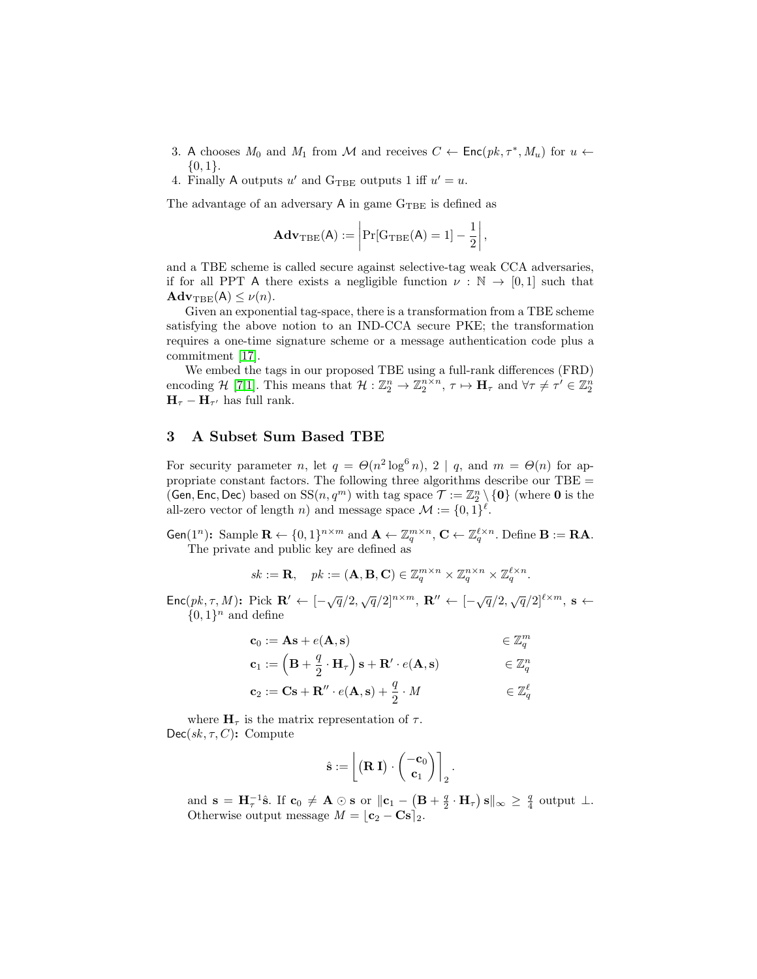- 3. A chooses  $M_0$  and  $M_1$  from M and receives  $C \leftarrow \mathsf{Enc}(pk, \tau^*, M_u)$  for  $u \leftarrow$  $\{0,1\}.$
- 4. Finally A outputs u' and  $G_{\text{TBE}}$  outputs 1 iff  $u' = u$ .

The advantage of an adversary  $A$  in game  $G_{\rm TBE}$  is defined as

$$
\mathbf{Adv}_{\mathrm{TBE}}(\mathsf{A}) := \left| \Pr[\mathrm{G}_{\mathrm{TBE}}(\mathsf{A}) = 1] - \frac{1}{2} \right|,
$$

and a TBE scheme is called secure against selective-tag weak CCA adversaries, if for all PPT A there exists a negligible function  $\nu : \mathbb{N} \to [0,1]$  such that  $\mathbf{Adv}_{\mathrm{TBE}}(\mathsf{A}) \leq \nu(n).$ 

Given an exponential tag-space, there is a transformation from a TBE scheme satisfying the above notion to an IND-CCA secure PKE; the transformation requires a one-time signature scheme or a message authentication code plus a commitment [\[17\]](#page-10-18).

We embed the tags in our proposed TBE using a full-rank differences (FRD) encoding H [\[7,](#page-10-22)[1\]](#page-9-4). This means that  $\mathcal{H} : \mathbb{Z}_2^n \to \mathbb{Z}_2^{n \times n}, \tau \mapsto \mathbf{H}_{\tau}$  and  $\forall \tau \neq \tau' \in \mathbb{Z}_2^n$  $\mathbf{H}_{\tau} - \mathbf{H}_{\tau'}$  has full rank.

### 3 A Subset Sum Based TBE

For security parameter *n*, let  $q = \Theta(n^2 \log^6 n)$ , 2 | *q*, and  $m = \Theta(n)$  for appropriate constant factors. The following three algorithms describe our TBE = (Gen, Enc, Dec) based on  $SS(n, q^m)$  with tag space  $\mathcal{T} := \mathbb{Z}_2^n \setminus \{0\}$  (where 0 is the all-zero vector of length *n*) and message space  $\mathcal{M} := \{0, 1\}^{\ell}$ .

Gen(1<sup>n</sup>): Sample  $\mathbf{R} \leftarrow \{0, 1\}^{n \times m}$  and  $\mathbf{A} \leftarrow \mathbb{Z}_q^{m \times n}$ ,  $\mathbf{C} \leftarrow \mathbb{Z}_q^{\ell \times n}$ . Define  $\mathbf{B} := \mathbf{R} \mathbf{A}$ . The private and public key are defined as

$$
sk := \mathbf{R}, \quad pk := (\mathbf{A}, \mathbf{B}, \mathbf{C}) \in \mathbb{Z}_q^{m \times n} \times \mathbb{Z}_q^{n \times n} \times \mathbb{Z}_q^{\ell \times n}.
$$

Enc $(pk, \tau, M)$ : Pick  $\mathbf{R}' \leftarrow [-\sqrt{q}/2, \sqrt{q}/2]^{n \times m}$ ,  $\mathbf{R}'' \leftarrow [-\sqrt{q}/2, \sqrt{q}/2]^{\ell \times m}$ , s  $\{0,1\}^n$  and define

$$
\begin{aligned}\n\mathbf{c}_0 &:= \mathbf{A}\mathbf{s} + e(\mathbf{A}, \mathbf{s}) & \in \mathbb{Z}_q^m \\
\mathbf{c}_1 &:= \left(\mathbf{B} + \frac{q}{2} \cdot \mathbf{H}_\tau\right) \mathbf{s} + \mathbf{R}' \cdot e(\mathbf{A}, \mathbf{s}) & \in \mathbb{Z}_q^n \\
\mathbf{c}_2 &:= \mathbf{C}\mathbf{s} + \mathbf{R}'' \cdot e(\mathbf{A}, \mathbf{s}) + \frac{q}{2} \cdot M & \in \mathbb{Z}_q^\ell\n\end{aligned}
$$

where  $H_{\tau}$  is the matrix representation of  $\tau$ .  $Dec(sk, \tau, C)$ : Compute

$$
\hat{\mathbf{s}} := \left\lfloor \left( \mathbf{R} \; \mathbf{I} \right) \cdot \begin{pmatrix} -\mathbf{c}_0 \\ \mathbf{c}_1 \end{pmatrix} \right\rceil_2.
$$

and  $\mathbf{s} = \mathbf{H}_{\tau}^{-1}\hat{\mathbf{s}}$ . If  $\mathbf{c}_0 \neq \mathbf{A} \odot \mathbf{s}$  or  $\|\mathbf{c}_1 - \left(\mathbf{B} + \frac{q}{2} \cdot \mathbf{H}_{\tau}\right) \mathbf{s}\|_{\infty} \geq \frac{q}{4}$  output  $\perp$ . Otherwise output message  $M = [\mathbf{c}_2 - \mathbf{Cs}]_2$ .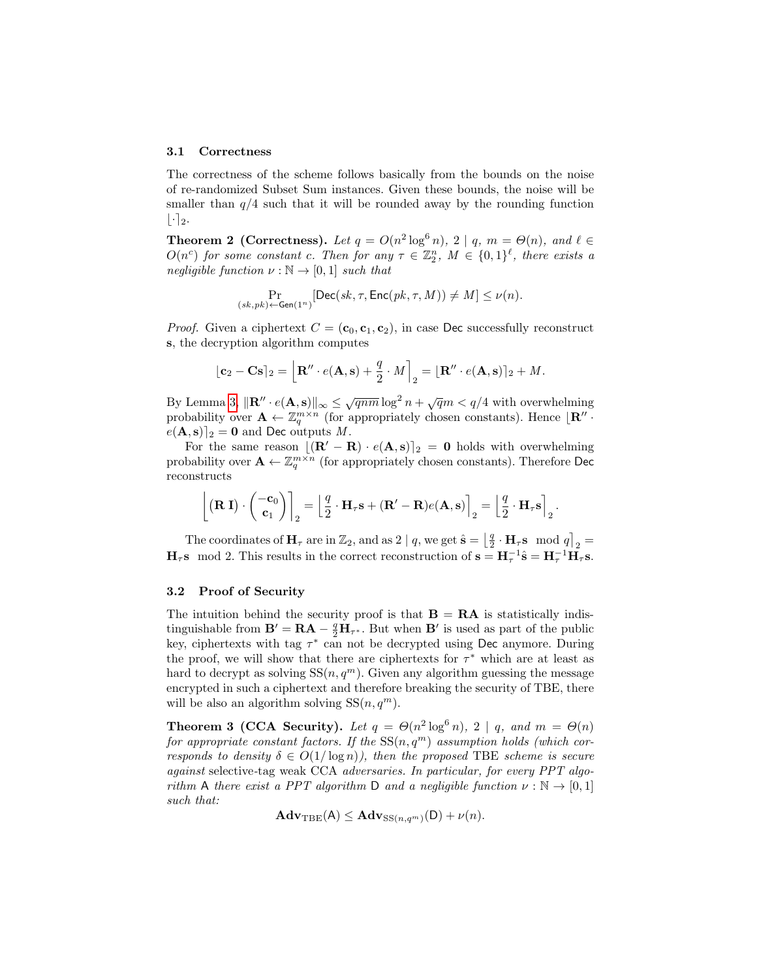#### 3.1 Correctness

The correctness of the scheme follows basically from the bounds on the noise of re-randomized Subset Sum instances. Given these bounds, the noise will be smaller than  $q/4$  such that it will be rounded away by the rounding function  $|\cdot|_2.$ 

<span id="page-7-0"></span>**Theorem 2 (Correctness).** Let  $q = O(n^2 \log^6 n)$ ,  $2 \mid q, m = O(n)$ , and  $\ell \in$  $O(n^c)$  for some constant c. Then for any  $\tau \in \mathbb{Z}_2^n$ ,  $M \in \{0,1\}^{\ell}$ , there exists a negligible function  $\nu : \mathbb{N} \to [0,1]$  such that

$$
\Pr_{(sk,pk) \leftarrow \mathsf{Gen}(1^n)}[\mathsf{Dec}(sk,\tau,\mathsf{Enc}(pk,\tau,M)) \neq M] \leq \nu(n).
$$

*Proof.* Given a ciphertext  $C = (\mathbf{c}_0, \mathbf{c}_1, \mathbf{c}_2)$ , in case Dec successfully reconstruct s, the decryption algorithm computes

$$
\lfloor \mathbf{c}_2 - \mathbf{C} \mathbf{s} \rceil_2 = \left\lfloor \mathbf{R}'' \cdot e(\mathbf{A}, \mathbf{s}) + \frac{q}{2} \cdot M \right\rceil_2 = \lfloor \mathbf{R}'' \cdot e(\mathbf{A}, \mathbf{s}) \rceil_2 + M.
$$

By Lemma [3,](#page-5-0)  $\|\mathbf{R}'' \cdot e(\mathbf{A}, \mathbf{s})\|_{\infty} \leq \sqrt{qnm} \log^2 n + \sqrt{q}m < q/4$  with overwhelming probability over  $\mathbf{A} \leftarrow \mathbb{Z}_q^{m \times n}$  (for appropriately chosen constants). Hence  $\mathbf{R}^n$ .  $e(\mathbf{A}, \mathbf{s})|_2 = \mathbf{0}$  and Dec outputs M.

For the same reason  $[(\mathbf{R}' - \mathbf{R}) \cdot e(\mathbf{A}, \mathbf{s})]_2 = 0$  holds with overwhelming probability over  $\mathbf{A} \leftarrow \mathbb{Z}_q^{m \times n}$  (for appropriately chosen constants). Therefore Dec reconstructs

$$
\left[ \begin{pmatrix} \mathbf{R} \mathbf{I} \end{pmatrix} \cdot \begin{pmatrix} -\mathbf{c}_0 \\ \mathbf{c}_1 \end{pmatrix} \right]_2 = \left[ \frac{q}{2} \cdot \mathbf{H}_{\tau} \mathbf{s} + (\mathbf{R}' - \mathbf{R}) e(\mathbf{A}, \mathbf{s}) \right]_2 = \left[ \frac{q}{2} \cdot \mathbf{H}_{\tau} \mathbf{s} \right]_2
$$

.

The coordinates of  $\mathbf{H}_{\tau}$  are in  $\mathbb{Z}_2$ , and as 2 | q, we get  $\hat{\mathbf{s}} = \begin{bmatrix} \frac{q}{2} \cdot \mathbf{H}_{\tau} \mathbf{s} \mod q \end{bmatrix}_2$  $\mathbf{H}_{\tau}$ s mod 2. This results in the correct reconstruction of  $\mathbf{s} = \mathbf{H}_{\tau}^{-1} \hat{\mathbf{s}} = \mathbf{H}_{\tau}^{-1} \bar{\mathbf{H}}_{\tau} \mathbf{s}$ .

#### 3.2 Proof of Security

The intuition behind the security proof is that  $B = RA$  is statistically indistinguishable from  $\mathbf{B}' = \mathbf{R}\mathbf{A} - \frac{q}{2}\mathbf{H}_{\tau^*}$ . But when  $\mathbf{B}'$  is used as part of the public key, ciphertexts with tag  $\tau^*$  can not be decrypted using Dec anymore. During the proof, we will show that there are ciphertexts for  $\tau^*$  which are at least as hard to decrypt as solving  $SS(n, q^m)$ . Given any algorithm guessing the message encrypted in such a ciphertext and therefore breaking the security of TBE, there will be also an algorithm solving  $SS(n, q^m)$ .

**Theorem 3 (CCA Security).** Let  $q = \Theta(n^2 \log^6 n)$ ,  $2 \mid q$ , and  $m = \Theta(n)$ for appropriate constant factors. If the  $SS(n, q^m)$  assumption holds (which corresponds to density  $\delta \in O(1/\log n)$ , then the proposed TBE scheme is secure against selective-tag weak CCA adversaries. In particular, for every PPT algorithm A there exist a PPT algorithm D and a negligible function  $\nu : \mathbb{N} \to [0,1]$ such that:

$$
\mathbf{Adv}_{\mathrm{TBE}}(\mathsf{A}) \leq \mathbf{Adv}_{\mathrm{SS}(n,q^m)}(\mathsf{D}) + \nu(n).
$$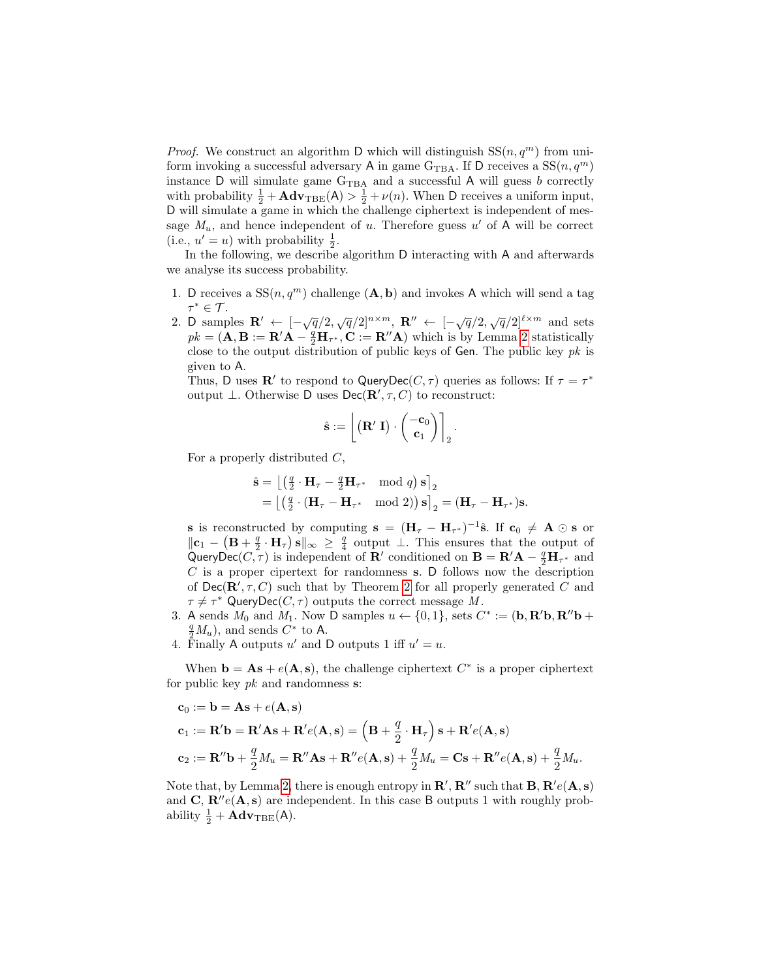*Proof.* We construct an algorithm D which will distinguish  $SS(n, q^m)$  from uniform invoking a successful adversary A in game  $G_{TBA}$ . If D receives a  $SS(n, q^m)$ instance  $D$  will simulate game  $G_{TBA}$  and a successful A will guess b correctly with probability  $\frac{1}{2} + \mathbf{Adv}_{\text{TBE}}(A) > \frac{1}{2} + \nu(n)$ . When D receives a uniform input, D will simulate a game in which the challenge ciphertext is independent of message  $M_u$ , and hence independent of u. Therefore guess u' of A will be correct (i.e.,  $u' = u$ ) with probability  $\frac{1}{2}$ .

In the following, we describe algorithm D interacting with A and afterwards we analyse its success probability.

- 1. D receives a  $SS(n, q^m)$  challenge  $(A, b)$  and invokes A which will send a tag  $\tau^*\in\mathcal{T}$ .
- 2. D samples  $\mathbf{R}' \leftarrow \left[ -\sqrt{q}/2, \sqrt{q}/2 \right]^{n \times m}$ ,  $\mathbf{R}'' \leftarrow \left[ -\sqrt{q}/2, \sqrt{q}/2 \right]^{l \times m}$  and sets  $pk = (\mathbf{A}, \mathbf{B} := \mathbf{R}'\mathbf{A} - \frac{q}{2}\mathbf{H}_{\tau^*}, \mathbf{C} := \mathbf{R}''\mathbf{A})$  which is by Lemma [2](#page-4-0) statistically close to the output distribution of public keys of Gen. The public key  $pk$  is given to A.

Thus, D uses R' to respond to QueryDec( $C, \tau$ ) queries as follows: If  $\tau = \tau^*$ output  $\bot$ . Otherwise D uses Dec( $\mathbf{R}', \tau, C$ ) to reconstruct:

$$
\hat{\mathbf{s}} := \left\lfloor \left( \mathbf{R}'\; \mathbf{I} \right) \cdot \begin{pmatrix} -\mathbf{c}_0 \\ \mathbf{c}_1 \end{pmatrix} \right\rceil_2.
$$

For a properly distributed  $C$ ,

$$
\hat{\mathbf{s}} = \left[ \begin{pmatrix} \frac{q}{2} \cdot \mathbf{H}_{\tau} - \frac{q}{2} \mathbf{H}_{\tau^*} & \text{mod } q \end{pmatrix} \mathbf{s} \right]_2
$$
  
= 
$$
\left[ \begin{pmatrix} \frac{q}{2} \cdot (\mathbf{H}_{\tau} - \mathbf{H}_{\tau^*} & \text{mod } 2) \end{pmatrix} \mathbf{s} \right]_2 = (\mathbf{H}_{\tau} - \mathbf{H}_{\tau^*}) \mathbf{s}.
$$

s is reconstructed by computing  $s = (H_\tau - H_{\tau^*})^{-1}\hat{s}$ . If  $c_0 \neq A \odot s$  or  $\|\mathbf{c}_1 - (\mathbf{B} + \frac{q}{2} \cdot \mathbf{H}_{\tau})\mathbf{s}\|_{\infty} \geq \frac{q}{4}$  output  $\perp$ . This ensures that the output of QueryDec( $C, \tau$ ) is independent of  $\mathbf{R}'$  conditioned on  $\mathbf{B} = \mathbf{R}'\mathbf{A} - \frac{q}{2}\mathbf{H}_{\tau^*}$  and  $C$  is a proper cipertext for randomness s. D follows now the description of  $\mathsf{Dec}(\mathbf{R}', \tau, C)$  such that by Theorem [2](#page-7-0) for all properly generated C and  $\tau \neq \tau^*$  QueryDec( $C, \tau$ ) outputs the correct message M.

- 3. A sends  $M_0$  and  $M_1$ . Now D samples  $u \leftarrow \{0, 1\}$ , sets  $C^* := (\mathbf{b}, \mathbf{R}'\mathbf{b}, \mathbf{R}''\mathbf{b} + \mathbf{R}'\mathbf{b}, \mathbf{R}''\mathbf{b})$  $\frac{q}{2}M_u$ , and sends  $C^*$  to A.
- 4. Finally A outputs u' and D outputs 1 iff  $u' = u$ .

When  $\mathbf{b} = \mathbf{A}\mathbf{s} + e(\mathbf{A}, \mathbf{s})$ , the challenge ciphertext  $C^*$  is a proper ciphertext for public key  $pk$  and randomness  $s$ :

$$
c_0 := \mathbf{b} = \mathbf{A}\mathbf{s} + e(\mathbf{A}, \mathbf{s})
$$
  
\n
$$
\mathbf{c}_1 := \mathbf{R}'\mathbf{b} = \mathbf{R}'\mathbf{A}\mathbf{s} + \mathbf{R}'e(\mathbf{A}, \mathbf{s}) = \left(\mathbf{B} + \frac{q}{2} \cdot \mathbf{H}_{\tau}\right)\mathbf{s} + \mathbf{R}'e(\mathbf{A}, \mathbf{s})
$$
  
\n
$$
\mathbf{c}_2 := \mathbf{R}''\mathbf{b} + \frac{q}{2}M_u = \mathbf{R}''\mathbf{A}\mathbf{s} + \mathbf{R}''e(\mathbf{A}, \mathbf{s}) + \frac{q}{2}M_u = \mathbf{C}\mathbf{s} + \mathbf{R}''e(\mathbf{A}, \mathbf{s}) + \frac{q}{2}M_u.
$$

Note that, by Lemma [2,](#page-4-0) there is enough entropy in  $\mathbf{R}', \mathbf{R}''$  such that  $\mathbf{B}, \mathbf{R}'e(\mathbf{A}, \mathbf{s})$ and C,  $\mathbf{R}^{\prime\prime}e(\mathbf{A}, \mathbf{s})$  are independent. In this case B outputs 1 with roughly probability  $\frac{1}{2} + \mathbf{Adv}_{\text{TBE}}(A)$ .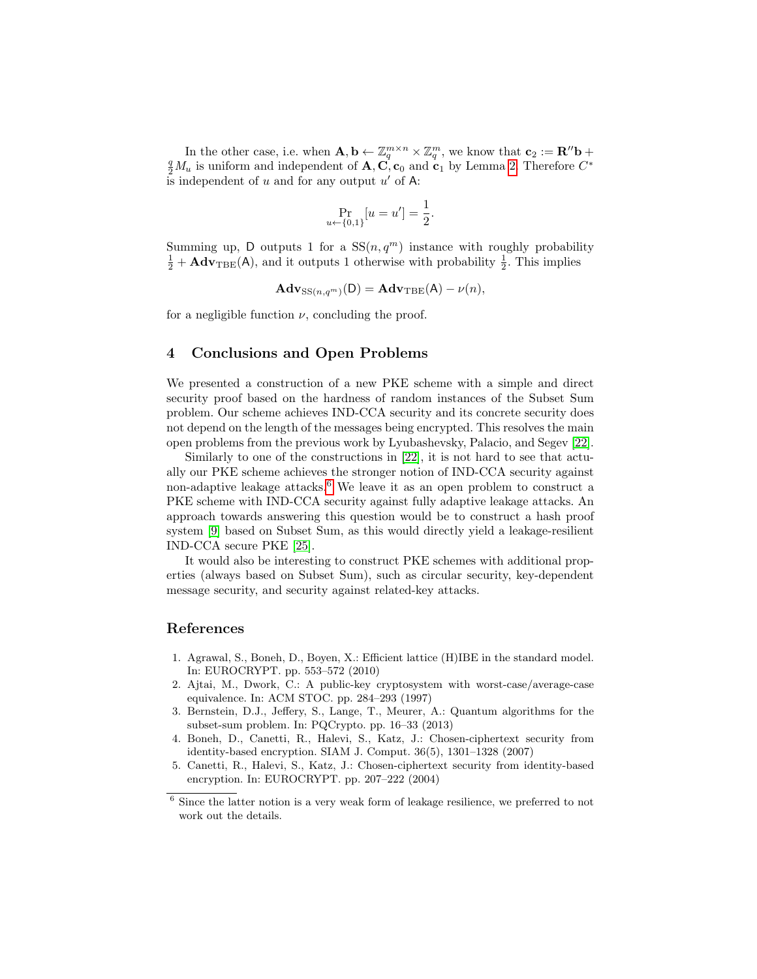In the other case, i.e. when  $\mathbf{A}, \mathbf{b} \leftarrow \mathbb{Z}_q^{m \times n} \times \mathbb{Z}_q^m$ , we know that  $\mathbf{c}_2 := \mathbf{R}'' \mathbf{b} + \mathbf{B}'' \mathbf{c}$  $\frac{q}{2}M_u$  is uniform and independent of **A**,  $\mathbf{C}^*$ ,  $\mathbf{c}_0$  and  $\mathbf{c}_1$  by Lemma [2.](#page-4-0) Therefore  $C^*$ is independent of u and for any output  $u'$  of A:

$$
\Pr_{u \leftarrow \{0,1\}}[u = u'] = \frac{1}{2}.
$$

Summing up, D outputs 1 for a  $SS(n, q^m)$  instance with roughly probability  $\frac{1}{2} + \mathbf{Adv}_{\text{TBE}}(\mathsf{A})$ , and it outputs 1 otherwise with probability  $\frac{1}{2}$ . This implies

$$
\mathbf{Adv}_{\mathrm{SS}(n,q^m)}(\mathsf{D}) = \mathbf{Adv}_{\mathrm{TBE}}(\mathsf{A}) - \nu(n),
$$

for a negligible function  $\nu$ , concluding the proof.

## 4 Conclusions and Open Problems

We presented a construction of a new PKE scheme with a simple and direct security proof based on the hardness of random instances of the Subset Sum problem. Our scheme achieves IND-CCA security and its concrete security does not depend on the length of the messages being encrypted. This resolves the main open problems from the previous work by Lyubashevsky, Palacio, and Segev [\[22\]](#page-10-14).

Similarly to one of the constructions in [\[22\]](#page-10-14), it is not hard to see that actually our PKE scheme achieves the stronger notion of IND-CCA security against non-adaptive leakage attacks.<sup>[6](#page-9-5)</sup> We leave it as an open problem to construct a PKE scheme with IND-CCA security against fully adaptive leakage attacks. An approach towards answering this question would be to construct a hash proof system [\[9\]](#page-10-23) based on Subset Sum, as this would directly yield a leakage-resilient IND-CCA secure PKE [\[25\]](#page-10-24).

It would also be interesting to construct PKE schemes with additional properties (always based on Subset Sum), such as circular security, key-dependent message security, and security against related-key attacks.

### References

- <span id="page-9-4"></span>1. Agrawal, S., Boneh, D., Boyen, X.: Efficient lattice (H)IBE in the standard model. In: EUROCRYPT. pp. 553–572 (2010)
- <span id="page-9-1"></span>2. Ajtai, M., Dwork, C.: A public-key cryptosystem with worst-case/average-case equivalence. In: ACM STOC. pp. 284–293 (1997)
- <span id="page-9-0"></span>3. Bernstein, D.J., Jeffery, S., Lange, T., Meurer, A.: Quantum algorithms for the subset-sum problem. In: PQCrypto. pp. 16–33 (2013)
- <span id="page-9-3"></span>4. Boneh, D., Canetti, R., Halevi, S., Katz, J.: Chosen-ciphertext security from identity-based encryption. SIAM J. Comput. 36(5), 1301–1328 (2007)
- <span id="page-9-2"></span>5. Canetti, R., Halevi, S., Katz, J.: Chosen-ciphertext security from identity-based encryption. In: EUROCRYPT. pp. 207–222 (2004)

<span id="page-9-5"></span> $^6$  Since the latter notion is a very weak form of leakage resilience, we preferred to not work out the details.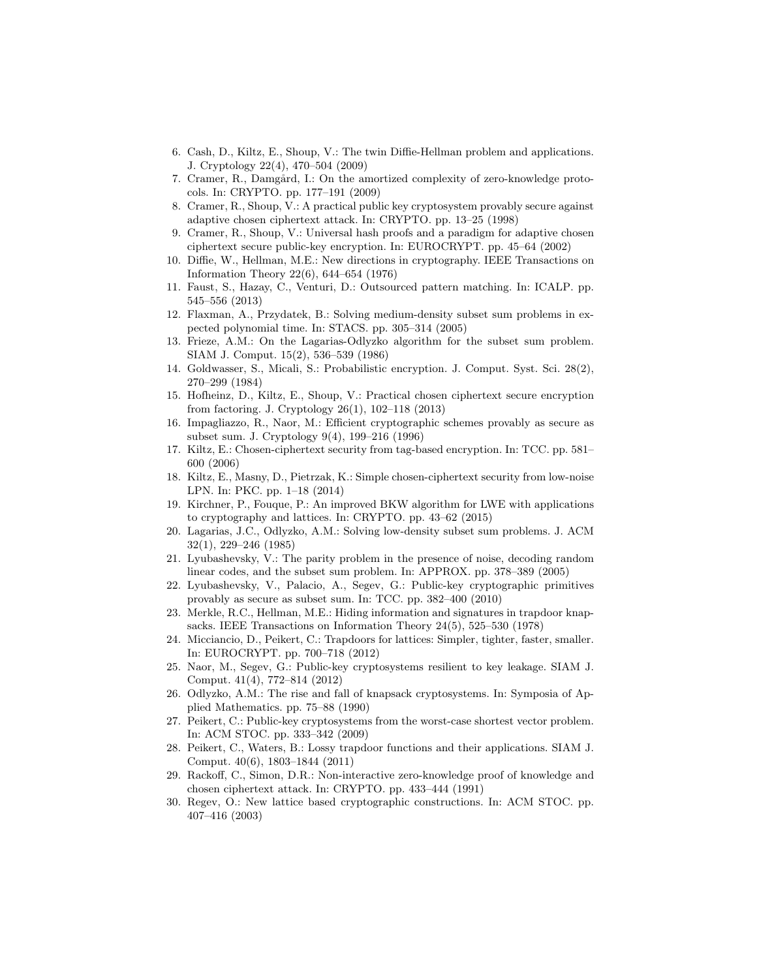- <span id="page-10-5"></span>6. Cash, D., Kiltz, E., Shoup, V.: The twin Diffie-Hellman problem and applications. J. Cryptology 22(4), 470–504 (2009)
- <span id="page-10-22"></span>7. Cramer, R., Damgård, I.: On the amortized complexity of zero-knowledge protocols. In: CRYPTO. pp. 177–191 (2009)
- <span id="page-10-4"></span>8. Cramer, R., Shoup, V.: A practical public key cryptosystem provably secure against adaptive chosen ciphertext attack. In: CRYPTO. pp. 13–25 (1998)
- <span id="page-10-23"></span>9. Cramer, R., Shoup, V.: Universal hash proofs and a paradigm for adaptive chosen ciphertext secure public-key encryption. In: EUROCRYPT. pp. 45–64 (2002)
- <span id="page-10-0"></span>10. Diffie, W., Hellman, M.E.: New directions in cryptography. IEEE Transactions on Information Theory 22(6), 644–654 (1976)
- <span id="page-10-21"></span>11. Faust, S., Hazay, C., Venturi, D.: Outsourced pattern matching. In: ICALP. pp. 545–556 (2013)
- <span id="page-10-9"></span>12. Flaxman, A., Przydatek, B.: Solving medium-density subset sum problems in expected polynomial time. In: STACS. pp. 305–314 (2005)
- <span id="page-10-8"></span>13. Frieze, A.M.: On the Lagarias-Odlyzko algorithm for the subset sum problem. SIAM J. Comput. 15(2), 536–539 (1986)
- <span id="page-10-1"></span>14. Goldwasser, S., Micali, S.: Probabilistic encryption. J. Comput. Syst. Sci. 28(2), 270–299 (1984)
- <span id="page-10-3"></span>15. Hofheinz, D., Kiltz, E., Shoup, V.: Practical chosen ciphertext secure encryption from factoring. J. Cryptology 26(1), 102–118 (2013)
- <span id="page-10-15"></span>16. Impagliazzo, R., Naor, M.: Efficient cryptographic schemes provably as secure as subset sum. J. Cryptology 9(4), 199–216 (1996)
- <span id="page-10-18"></span>17. Kiltz, E.: Chosen-ciphertext security from tag-based encryption. In: TCC. pp. 581– 600 (2006)
- <span id="page-10-6"></span>18. Kiltz, E., Masny, D., Pietrzak, K.: Simple chosen-ciphertext security from low-noise LPN. In: PKC. pp. 1–18 (2014)
- <span id="page-10-11"></span>19. Kirchner, P., Fouque, P.: An improved BKW algorithm for LWE with applications to cryptography and lattices. In: CRYPTO. pp. 43–62 (2015)
- <span id="page-10-7"></span>20. Lagarias, J.C., Odlyzko, A.M.: Solving low-density subset sum problems. J. ACM 32(1), 229–246 (1985)
- <span id="page-10-10"></span>21. Lyubashevsky, V.: The parity problem in the presence of noise, decoding random linear codes, and the subset sum problem. In: APPROX. pp. 378–389 (2005)
- <span id="page-10-14"></span>22. Lyubashevsky, V., Palacio, A., Segev, G.: Public-key cryptographic primitives provably as secure as subset sum. In: TCC. pp. 382–400 (2010)
- <span id="page-10-19"></span>23. Merkle, R.C., Hellman, M.E.: Hiding information and signatures in trapdoor knapsacks. IEEE Transactions on Information Theory 24(5), 525–530 (1978)
- <span id="page-10-17"></span>24. Micciancio, D., Peikert, C.: Trapdoors for lattices: Simpler, tighter, faster, smaller. In: EUROCRYPT. pp. 700–718 (2012)
- <span id="page-10-24"></span>25. Naor, M., Segev, G.: Public-key cryptosystems resilient to key leakage. SIAM J. Comput. 41(4), 772–814 (2012)
- <span id="page-10-20"></span>26. Odlyzko, A.M.: The rise and fall of knapsack cryptosystems. In: Symposia of Applied Mathematics. pp. 75–88 (1990)
- <span id="page-10-13"></span>27. Peikert, C.: Public-key cryptosystems from the worst-case shortest vector problem. In: ACM STOC. pp. 333–342 (2009)
- <span id="page-10-16"></span>28. Peikert, C., Waters, B.: Lossy trapdoor functions and their applications. SIAM J. Comput. 40(6), 1803–1844 (2011)
- <span id="page-10-2"></span>29. Rackoff, C., Simon, D.R.: Non-interactive zero-knowledge proof of knowledge and chosen ciphertext attack. In: CRYPTO. pp. 433–444 (1991)
- <span id="page-10-12"></span>30. Regev, O.: New lattice based cryptographic constructions. In: ACM STOC. pp. 407–416 (2003)